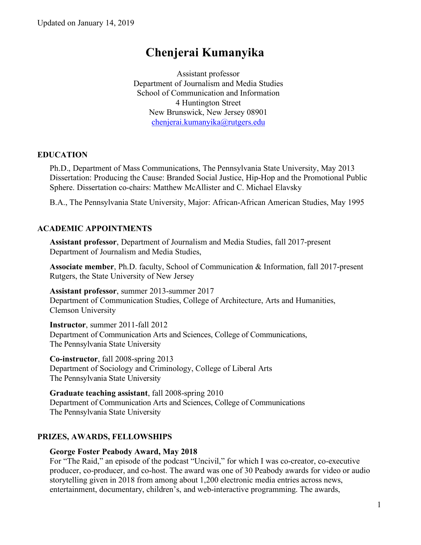# **Chenjerai Kumanyika**

Assistant professor Department of Journalism and Media Studies School of Communication and Information 4 Huntington Street New Brunswick, New Jersey 08901 chenjerai.kumanyika@rutgers.edu

# **EDUCATION**

Ph.D., Department of Mass Communications, The Pennsylvania State University, May 2013 Dissertation: Producing the Cause: Branded Social Justice, Hip-Hop and the Promotional Public Sphere. Dissertation co-chairs: Matthew McAllister and C. Michael Elavsky

B.A., The Pennsylvania State University, Major: African-African American Studies, May 1995

# **ACADEMIC APPOINTMENTS**

**Assistant professor**, Department of Journalism and Media Studies, fall 2017-present Department of Journalism and Media Studies,

**Associate member**, Ph.D. faculty, School of Communication & Information, fall 2017-present Rutgers, the State University of New Jersey

**Assistant professor**, summer 2013-summer 2017 Department of Communication Studies, College of Architecture, Arts and Humanities, Clemson University

**Instructor**, summer 2011-fall 2012 Department of Communication Arts and Sciences, College of Communications, The Pennsylvania State University

**Co-instructor**, fall 2008-spring 2013 Department of Sociology and Criminology, College of Liberal Arts The Pennsylvania State University

**Graduate teaching assistant**, fall 2008-spring 2010 Department of Communication Arts and Sciences, College of Communications The Pennsylvania State University

# **PRIZES, AWARDS, FELLOWSHIPS**

## **George Foster Peabody Award, May 2018**

For "The Raid," an episode of the podcast "Uncivil," for which I was co-creator, co-executive producer, co-producer, and co-host. The award was one of 30 Peabody awards for video or audio storytelling given in 2018 from among about 1,200 electronic media entries across news, entertainment, documentary, children's, and web-interactive programming. The awards,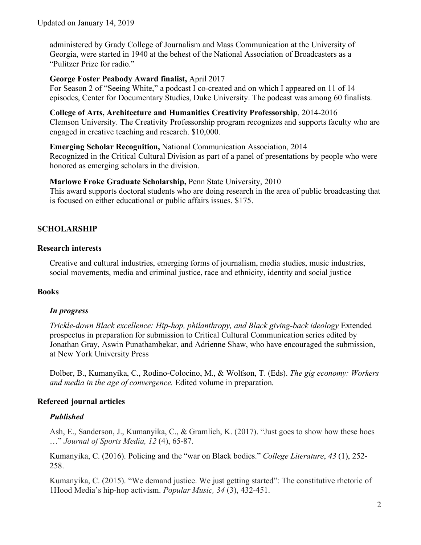administered by Grady College of Journalism and Mass Communication at the University of Georgia, were started in 1940 at the behest of the National Association of Broadcasters as a "Pulitzer Prize for radio."

#### **George Foster Peabody Award finalist,** April 2017

For Season 2 of "Seeing White," a podcast I co-created and on which I appeared on 11 of 14 episodes, Center for Documentary Studies, Duke University. The podcast was among 60 finalists.

**College of Arts, Architecture and Humanities Creativity Professorship**, 2014-2016 Clemson University. The Creativity Professorship program recognizes and supports faculty who are engaged in creative teaching and research. \$10,000.

**Emerging Scholar Recognition,** National Communication Association, 2014 Recognized in the Critical Cultural Division as part of a panel of presentations by people who were honored as emerging scholars in the division.

#### **Marlowe Froke Graduate Scholarship,** Penn State University, 2010

This award supports doctoral students who are doing research in the area of public broadcasting that is focused on either educational or public affairs issues. \$175.

# **SCHOLARSHIP**

#### **Research interests**

Creative and cultural industries, emerging forms of journalism, media studies, music industries, social movements, media and criminal justice, race and ethnicity, identity and social justice

## **Books**

## *In progress*

*Trickle-down Black excellence: Hip-hop, philanthropy, and Black giving-back ideology* Extended prospectus in preparation for submission to Critical Cultural Communication series edited by Jonathan Gray, Aswin Punathambekar, and Adrienne Shaw, who have encouraged the submission, at New York University Press

Dolber, B., Kumanyika, C., Rodino-Colocino, M., & Wolfson, T. (Eds). *The gig economy: Workers and media in the age of convergence.* Edited volume in preparation.

## **Refereed journal articles**

## *Published*

Ash, E., Sanderson, J., Kumanyika, C., & Gramlich, K. (2017). "Just goes to show how these hoes …" *Journal of Sports Media, 12* (4), 65-87.

Kumanyika, C. (2016). Policing and the "war on Black bodies." *College Literature*, *43* (1), 252- 258.

Kumanyika, C. (2015). "We demand justice. We just getting started": The constitutive rhetoric of 1Hood Media's hip-hop activism. *Popular Music, 34* (3), 432-451.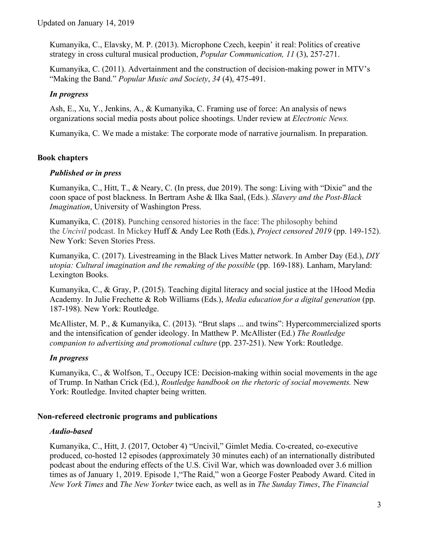Kumanyika, C., Elavsky, M. P. (2013). Microphone Czech, keepin' it real: Politics of creative strategy in cross cultural musical production, *Popular Communication, 11* (3), 257-271.

Kumanyika, C. (2011). Advertainment and the construction of decision-making power in MTV's "Making the Band." *Popular Music and Society*, *34* (4), 475-491.

# *In progress*

Ash, E., Xu, Y., Jenkins, A., & Kumanyika, C. Framing use of force: An analysis of news organizations social media posts about police shootings. Under review at *Electronic News.* 

Kumanyika, C. We made a mistake: The corporate mode of narrative journalism. In preparation.

# **Book chapters**

# *Published or in press*

Kumanyika, C., Hitt, T., & Neary, C. (In press, due 2019). The song: Living with "Dixie" and the coon space of post blackness. In Bertram Ashe & Ilka Saal, (Eds.). *Slavery and the Post-Black Imagination*, University of Washington Press.

Kumanyika, C. (2018). Punching censored histories in the face: The philosophy behind the *Uncivil* podcast. In Mickey Huff & Andy Lee Roth (Eds.), *Project censored 2019* (pp. 149-152). New York: Seven Stories Press.

Kumanyika, C. (2017). Livestreaming in the Black Lives Matter network. In Amber Day (Ed.), *DIY utopia: Cultural imagination and the remaking of the possible* (pp. 169-188). Lanham, Maryland: Lexington Books.

Kumanyika, C., & Gray, P. (2015). Teaching digital literacy and social justice at the 1Hood Media Academy. In Julie Frechette & Rob Williams (Eds.), *Media education for a digital generation* (pp. 187-198). New York: Routledge.

McAllister, M. P., & Kumanyika, C. (2013). "Brut slaps ... and twins": Hypercommercialized sports and the intensification of gender ideology. In Matthew P. McAllister (Ed.) *The Routledge companion to advertising and promotional culture* (pp. 237-251). New York: Routledge.

# *In progress*

Kumanyika, C., & Wolfson, T., Occupy ICE: Decision-making within social movements in the age of Trump. In Nathan Crick (Ed.), *Routledge handbook on the rhetoric of social movements.* New York: Routledge. Invited chapter being written.

# **Non-refereed electronic programs and publications**

# *Audio-based*

Kumanyika, C., Hitt, J. (2017, October 4) "Uncivil," Gimlet Media. Co-created, co-executive produced, co-hosted 12 episodes (approximately 30 minutes each) of an internationally distributed podcast about the enduring effects of the U.S. Civil War, which was downloaded over 3.6 million times as of January 1, 2019. Episode 1,"The Raid," won a George Foster Peabody Award. Cited in *New York Times* and *The New Yorker* twice each, as well as in *The Sunday Times*, *The Financial*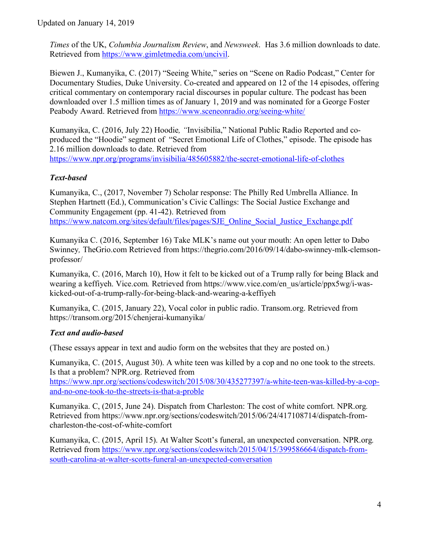*Times* of the UK, *Columbia Journalism Review*, and *Newsweek*. Has 3.6 million downloads to date. Retrieved from https://www.gimletmedia.com/uncivil.

Biewen J., Kumanyika, C. (2017) "Seeing White," series on "Scene on Radio Podcast," Center for Documentary Studies, Duke University. Co-created and appeared on 12 of the 14 episodes, offering critical commentary on contemporary racial discourses in popular culture. The podcast has been downloaded over 1.5 million times as of January 1, 2019 and was nominated for a George Foster Peabody Award. Retrieved from https://www.sceneonradio.org/seeing-white/

Kumanyika, C. (2016, July 22) Hoodie*, "*Invisibilia," National Public Radio Reported and coproduced the "Hoodie" segment of "Secret Emotional Life of Clothes," episode. The episode has 2.16 million downloads to date. Retrieved from

https://www.npr.org/programs/invisibilia/485605882/the-secret-emotional-life-of-clothes

# *Text-based*

Kumanyika, C., (2017, November 7) Scholar response: The Philly Red Umbrella Alliance. In Stephen Hartnett (Ed.), Communication's Civic Callings: The Social Justice Exchange and Community Engagement (pp. 41-42). Retrieved from https://www.natcom.org/sites/default/files/pages/SJE\_Online\_Social\_Justice\_Exchange.pdf

Kumanyika C. (2016, September 16) Take MLK's name out your mouth: An open letter to Dabo Swinney*,* TheGrio.com Retrieved from https://thegrio.com/2016/09/14/dabo-swinney-mlk-clemsonprofessor/

Kumanyika, C. (2016, March 10), How it felt to be kicked out of a Trump rally for being Black and wearing a keffiyeh. Vice.com. Retrieved from https://www.vice.com/en\_us/article/ppx5wg/i-waskicked-out-of-a-trump-rally-for-being-black-and-wearing-a-keffiyeh

Kumanyika, C. (2015, January 22), Vocal color in public radio. Transom.org. Retrieved from https://transom.org/2015/chenjerai-kumanyika/

## *Text and audio-based*

(These essays appear in text and audio form on the websites that they are posted on.)

Kumanyika, C. (2015, August 30). A white teen was killed by a cop and no one took to the streets. Is that a problem? NPR.org. Retrieved from

https://www.npr.org/sections/codeswitch/2015/08/30/435277397/a-white-teen-was-killed-by-a-copand-no-one-took-to-the-streets-is-that-a-proble

Kumanyika. C, (2015, June 24). Dispatch from Charleston: The cost of white comfort. NPR.org*.*  Retrieved from https://www.npr.org/sections/codeswitch/2015/06/24/417108714/dispatch-fromcharleston-the-cost-of-white-comfort

Kumanyika, C. (2015, April 15). At Walter Scott's funeral, an unexpected conversation. NPR.org*.*  Retrieved from https://www.npr.org/sections/codeswitch/2015/04/15/399586664/dispatch-fromsouth-carolina-at-walter-scotts-funeral-an-unexpected-conversation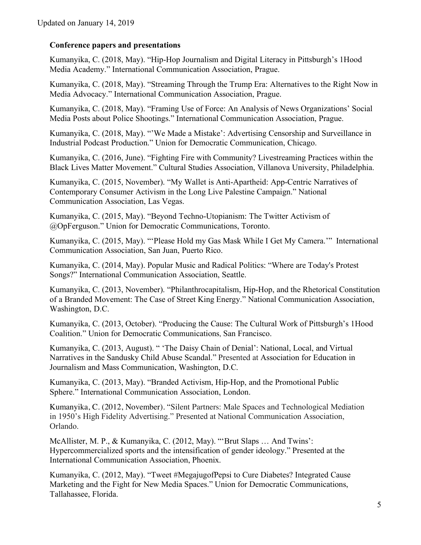# **Conference papers and presentations**

Kumanyika, C. (2018, May). "Hip-Hop Journalism and Digital Literacy in Pittsburgh's 1Hood Media Academy." International Communication Association, Prague.

Kumanyika, C. (2018, May). "Streaming Through the Trump Era: Alternatives to the Right Now in Media Advocacy." International Communication Association, Prague.

Kumanyika, C. (2018, May). "Framing Use of Force: An Analysis of News Organizations' Social Media Posts about Police Shootings." International Communication Association, Prague.

Kumanyika, C. (2018, May). "'We Made a Mistake': Advertising Censorship and Surveillance in Industrial Podcast Production." Union for Democratic Communication, Chicago.

Kumanyika, C. (2016, June). "Fighting Fire with Community? Livestreaming Practices within the Black Lives Matter Movement." Cultural Studies Association, Villanova University, Philadelphia.

Kumanyika, C. (2015, November). "My Wallet is Anti-Apartheid: App-Centric Narratives of Contemporary Consumer Activism in the Long Live Palestine Campaign." National Communication Association, Las Vegas.

Kumanyika, C. (2015, May). "Beyond Techno-Utopianism: The Twitter Activism of @OpFerguson." Union for Democratic Communications, Toronto.

Kumanyika, C. (2015, May). "'Please Hold my Gas Mask While I Get My Camera.'" International Communication Association, San Juan, Puerto Rico.

Kumanyika, C. (2014, May). Popular Music and Radical Politics: "Where are Today's Protest Songs?" International Communication Association, Seattle.

Kumanyika, C. (2013, November). "Philanthrocapitalism, Hip-Hop, and the Rhetorical Constitution of a Branded Movement: The Case of Street King Energy." National Communication Association, Washington, D.C.

Kumanyika, C. (2013, October). "Producing the Cause: The Cultural Work of Pittsburgh's 1Hood Coalition." Union for Democratic Communications, San Francisco.

Kumanyika, C. (2013, August). " 'The Daisy Chain of Denial': National, Local, and Virtual Narratives in the Sandusky Child Abuse Scandal." Presented at Association for Education in Journalism and Mass Communication, Washington, D.C.

Kumanyika, C. (2013, May). "Branded Activism, Hip-Hop, and the Promotional Public Sphere." International Communication Association, London.

Kumanyika, C. (2012, November). "Silent Partners: Male Spaces and Technological Mediation in 1950's High Fidelity Advertising." Presented at National Communication Association, Orlando.

McAllister, M. P., & Kumanyika, C. (2012, May). "'Brut Slaps … And Twins': Hypercommercialized sports and the intensification of gender ideology." Presented at the International Communication Association, Phoenix.

Kumanyika, C. (2012, May). "Tweet #MegajugofPepsi to Cure Diabetes? Integrated Cause Marketing and the Fight for New Media Spaces." Union for Democratic Communications, Tallahassee, Florida.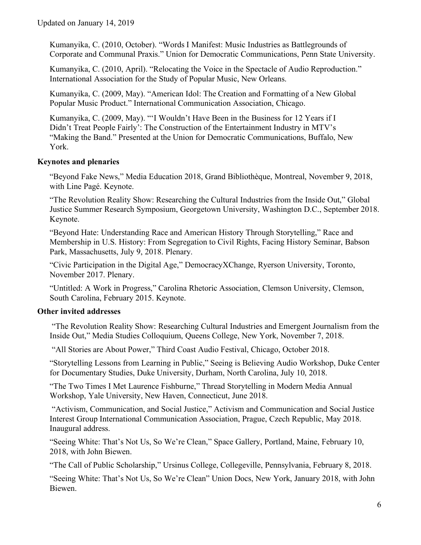Kumanyika, C. (2010, October). "Words I Manifest: Music Industries as Battlegrounds of Corporate and Communal Praxis." Union for Democratic Communications, Penn State University.

Kumanyika, C. (2010, April). "Relocating the Voice in the Spectacle of Audio Reproduction." International Association for the Study of Popular Music, New Orleans.

Kumanyika, C. (2009, May). "American Idol: The Creation and Formatting of a New Global Popular Music Product." International Communication Association, Chicago.

Kumanyika, C. (2009, May). "'I Wouldn't Have Been in the Business for 12 Years if I Didn't Treat People Fairly': The Construction of the Entertainment Industry in MTV's "Making the Band." Presented at the Union for Democratic Communications, Buffalo, New York.

#### **Keynotes and plenaries**

"Beyond Fake News," Media Education 2018, Grand Bibliothèque, Montreal, November 9, 2018, with Line Pagé. Keynote.

"The Revolution Reality Show: Researching the Cultural Industries from the Inside Out," Global Justice Summer Research Symposium, Georgetown University, Washington D.C., September 2018. Keynote.

"Beyond Hate: Understanding Race and American History Through Storytelling," Race and Membership in U.S. History: From Segregation to Civil Rights, Facing History Seminar, Babson Park, Massachusetts, July 9, 2018. Plenary.

"Civic Participation in the Digital Age," DemocracyXChange, Ryerson University, Toronto, November 2017. Plenary.

"Untitled: A Work in Progress," Carolina Rhetoric Association, Clemson University, Clemson, South Carolina, February 2015. Keynote.

## **Other invited addresses**

"The Revolution Reality Show: Researching Cultural Industries and Emergent Journalism from the Inside Out," Media Studies Colloquium, Queens College, New York, November 7, 2018.

"All Stories are About Power," Third Coast Audio Festival, Chicago, October 2018.

"Storytelling Lessons from Learning in Public," Seeing is Believing Audio Workshop, Duke Center for Documentary Studies, Duke University, Durham, North Carolina, July 10, 2018.

"The Two Times I Met Laurence Fishburne," Thread Storytelling in Modern Media Annual Workshop, Yale University, New Haven, Connecticut, June 2018.

"Activism, Communication, and Social Justice," Activism and Communication and Social Justice Interest Group International Communication Association, Prague, Czech Republic, May 2018. Inaugural address.

"Seeing White: That's Not Us, So We're Clean," Space Gallery, Portland, Maine, February 10, 2018, with John Biewen.

"The Call of Public Scholarship," Ursinus College, Collegeville, Pennsylvania, February 8, 2018.

"Seeing White: That's Not Us, So We're Clean" Union Docs, New York, January 2018, with John Biewen.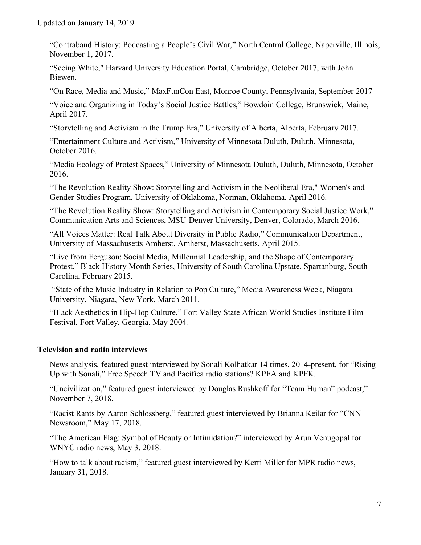"Contraband History: Podcasting a People's Civil War," North Central College, Naperville, Illinois, November 1, 2017.

"Seeing White," Harvard University Education Portal, Cambridge, October 2017, with John Biewen.

"On Race, Media and Music," MaxFunCon East, Monroe County, Pennsylvania, September 2017

"Voice and Organizing in Today's Social Justice Battles," Bowdoin College, Brunswick, Maine, April 2017.

"Storytelling and Activism in the Trump Era," University of Alberta, Alberta, February 2017.

"Entertainment Culture and Activism," University of Minnesota Duluth, Duluth, Minnesota, October 2016.

"Media Ecology of Protest Spaces," University of Minnesota Duluth, Duluth, Minnesota, October 2016.

"The Revolution Reality Show: Storytelling and Activism in the Neoliberal Era," Women's and Gender Studies Program, University of Oklahoma, Norman, Oklahoma, April 2016.

"The Revolution Reality Show: Storytelling and Activism in Contemporary Social Justice Work," Communication Arts and Sciences, MSU-Denver University, Denver, Colorado, March 2016.

"All Voices Matter: Real Talk About Diversity in Public Radio," Communication Department, University of Massachusetts Amherst, Amherst, Massachusetts, April 2015.

"Live from Ferguson: Social Media, Millennial Leadership, and the Shape of Contemporary Protest," Black History Month Series, University of South Carolina Upstate, Spartanburg, South Carolina, February 2015.

"State of the Music Industry in Relation to Pop Culture," Media Awareness Week, Niagara University, Niagara, New York, March 2011.

"Black Aesthetics in Hip-Hop Culture," Fort Valley State African World Studies Institute Film Festival, Fort Valley, Georgia, May 2004*.*

## **Television and radio interviews**

News analysis, featured guest interviewed by Sonali Kolhatkar 14 times, 2014-present, for "Rising Up with Sonali," Free Speech TV and Pacifica radio stations? KPFA and KPFK.

"Uncivilization," featured guest interviewed by Douglas Rushkoff for "Team Human" podcast," November 7, 2018.

"Racist Rants by Aaron Schlossberg," featured guest interviewed by Brianna Keilar for "CNN Newsroom," May 17, 2018.

"The American Flag: Symbol of Beauty or Intimidation?" interviewed by Arun Venugopal for WNYC radio news, May 3, 2018.

"How to talk about racism," featured guest interviewed by Kerri Miller for MPR radio news, January 31, 2018.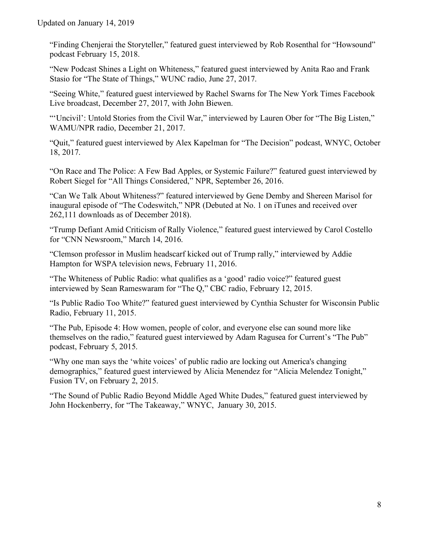"Finding Chenjerai the Storyteller," featured guest interviewed by Rob Rosenthal for "Howsound" podcast February 15, 2018.

"New Podcast Shines a Light on Whiteness," featured guest interviewed by Anita Rao and Frank Stasio for "The State of Things," WUNC radio, June 27, 2017.

"Seeing White," featured guest interviewed by Rachel Swarns for The New York Times Facebook Live broadcast, December 27, 2017, with John Biewen.

"'Uncivil': Untold Stories from the Civil War," interviewed by Lauren Ober for "The Big Listen," WAMU/NPR radio, December 21, 2017.

"Quit," featured guest interviewed by Alex Kapelman for "The Decision" podcast, WNYC, October 18, 2017.

"On Race and The Police: A Few Bad Apples, or Systemic Failure?" featured guest interviewed by Robert Siegel for "All Things Considered," NPR, September 26, 2016.

"Can We Talk About Whiteness?" featured interviewed by Gene Demby and Shereen Marisol for inaugural episode of "The Codeswitch," NPR (Debuted at No. 1 on iTunes and received over 262,111 downloads as of December 2018).

"Trump Defiant Amid Criticism of Rally Violence," featured guest interviewed by Carol Costello for "CNN Newsroom," March 14, 2016.

"Clemson professor in Muslim headscarf kicked out of Trump rally," interviewed by Addie Hampton for WSPA television news, February 11, 2016.

"The Whiteness of Public Radio: what qualifies as a 'good' radio voice?" featured guest interviewed by Sean Rameswaram for "The Q," CBC radio, February 12, 2015.

"Is Public Radio Too White?" featured guest interviewed by Cynthia Schuster for Wisconsin Public Radio, February 11, 2015.

"The Pub, Episode 4: How women, people of color, and everyone else can sound more like themselves on the radio," featured guest interviewed by Adam Ragusea for Current's "The Pub" podcast, February 5, 2015.

"Why one man says the 'white voices' of public radio are locking out America's changing demographics," featured guest interviewed by Alicia Menendez for "Alicia Melendez Tonight," Fusion TV, on February 2, 2015.

"The Sound of Public Radio Beyond Middle Aged White Dudes," featured guest interviewed by John Hockenberry, for "The Takeaway," WNYC, January 30, 2015.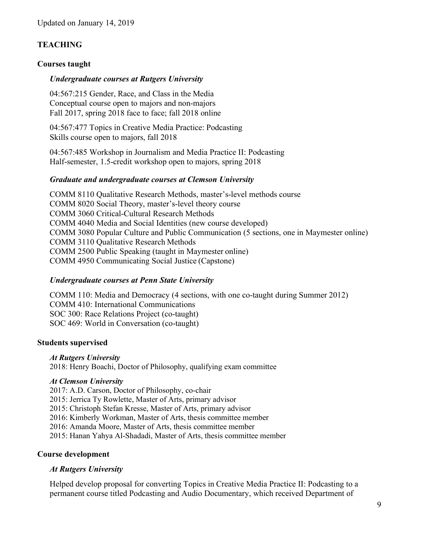# **TEACHING**

#### **Courses taught**

#### *Undergraduate courses at Rutgers University*

04:567:215 Gender, Race, and Class in the Media Conceptual course open to majors and non-majors Fall 2017, spring 2018 face to face; fall 2018 online

04:567:477 Topics in Creative Media Practice: Podcasting Skills course open to majors, fall 2018

04:567:485 Workshop in Journalism and Media Practice II: Podcasting Half-semester, 1.5-credit workshop open to majors, spring 2018

#### *Graduate and undergraduate courses at Clemson University*

COMM 8110 Qualitative Research Methods, master's-level methods course COMM 8020 Social Theory, master's-level theory course COMM 3060 Critical-Cultural Research Methods COMM 4040 Media and Social Identities (new course developed) COMM 3080 Popular Culture and Public Communication (5 sections, one in Maymester online) COMM 3110 Qualitative Research Methods COMM 2500 Public Speaking (taught in Maymester online) COMM 4950 Communicating Social Justice (Capstone)

## *Undergraduate courses at Penn State University*

COMM 110: Media and Democracy (4 sections, with one co-taught during Summer 2012) COMM 410: International Communications SOC 300: Race Relations Project (co-taught) SOC 469: World in Conversation (co-taught)

#### **Students supervised**

*At Rutgers University* 2018: Henry Boachi, Doctor of Philosophy, qualifying exam committee

#### *At Clemson University*

2017: A.D. Carson, Doctor of Philosophy, co-chair 2015: Jerrica Ty Rowlette, Master of Arts, primary advisor 2015: Christoph Stefan Kresse, Master of Arts, primary advisor 2016: Kimberly Workman, Master of Arts, thesis committee member 2016: Amanda Moore, Master of Arts, thesis committee member 2015: Hanan Yahya Al-Shadadi, Master of Arts, thesis committee member

## **Course development**

## *At Rutgers University*

Helped develop proposal for converting Topics in Creative Media Practice II: Podcasting to a permanent course titled Podcasting and Audio Documentary, which received Department of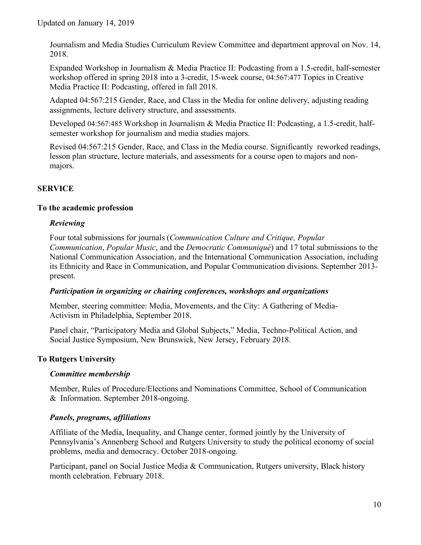Journalism and Media Studies Curriculum Review Committee and department approval on Nov. 14, 2018.

Expanded Workshop in Journalism & Media Practice II: Podcasting from a 1.5-credit, half-semester workshop offered in spring 2018 into a 3-credit, 15-week course, 04:567:477 Topics in Creative Media Practice II: Podcasting, offered in fall 2018.

Adapted 04:567:215 Gender, Race, and Class in the Media for online delivery, adjusting reading assignments, lecture delivery structure, and assessments.

Developed 04:567:485 Workshop in Journalism & Media Practice II: Podcasting, a 1.5-credit, halfsemester workshop for journalism and media studies majors.

Revised 04:567:215 Gender, Race, and Class in the Media course. Significantly reworked readings, lesson plan structure, lecture materials, and assessments for a course open to majors and nonmajors.

# **SERVICE**

# **To the academic profession**

# *Reviewing*

Four total submissions for journals (*Communication Culture and Critique, Popular Communication*, *Popular Music*, and the *Democratic Communiqué*) and 17 total submissions to the National Communication Association, and the International Communication Association, including its Ethnicity and Race in Communication, and Popular Communication divisions. September 2013 present.

## *Participation in organizing or chairing conferences, workshops and organizations*

Member, steering committee: Media, Movements, and the City: A Gathering of Media-Activism in Philadelphia, September 2018.

Panel chair, "Participatory Media and Global Subjects," Media, Techno-Political Action, and Social Justice Symposium, New Brunswick, New Jersey, February 2018.

# **To Rutgers University**

## *Committee membership*

 Member, Rules of Procedure/Elections and Nominations Committee, School of Communication & Information. September 2018-ongoing.

## *Panels, programs, affiliations*

Affiliate of the Media, Inequality, and Change center, formed jointly by the University of Pennsylvania's Annenberg School and Rutgers University to study the political economy of social problems, media and democracy. October 2018-ongoing.

Participant, panel on Social Justice Media & Communication, Rutgers university, Black history month celebration. February 2018.